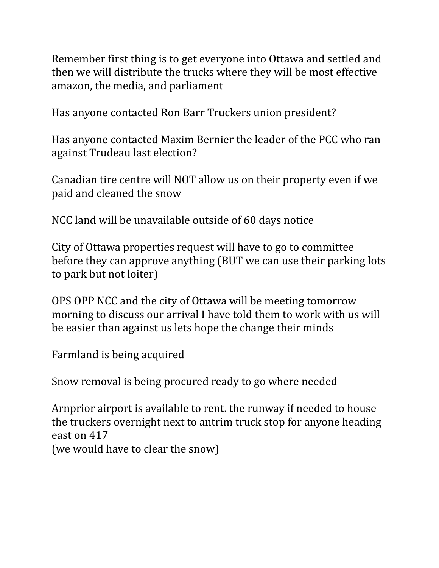Remember first thing is to get everyone into Ottawa and settled and then we will distribute the trucks where they will be most effective amazon, the media, and parliament

Has anyone contacted Ron Barr Truckers union president?

Has anyone contacted Maxim Bernier the leader of the PCC who ran against Trudeau last election?

Canadian tire centre will NOT allow us on their property even if we paid and cleaned the snow

NCC land will be unavailable outside of 60 days notice

City of Ottawa properties request will have to go to committee before they can approve anything (BUT we can use their parking lots to park but not loiter)

OPS OPP NCC and the city of Ottawa will be meeting tomorrow morning to discuss our arrival I have told them to work with us will be easier than against us lets hope the change their minds

Farmland is being acquired

Snow removal is being procured ready to go where needed

Arnprior airport is available to rent. the runway if needed to house the truckers overnight next to antrim truck stop for anyone heading east on 417

(we would have to clear the snow)